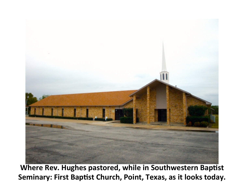

Where Rev. Hughes pastored, while in Southwestern Baptist Seminary: First Baptist Church, Point, Texas, as it looks today.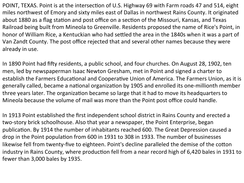POINT, TEXAS. Point is at the intersection of U.S. Highway 69 with Farm roads 47 and 514, eight miles northwest of Emory and sixty miles east of Dallas in northwest Rains County. It originated about 1880 as a flag station and post office on a section of the Missouri, Kansas, and Texas Railroad being built from Mineola to Greenville. Residents proposed the name of Rice's Point, in honor of William Rice, a Kentuckian who had settled the area in the 1840s when it was a part of Van Zandt County. The post office rejected that and several other names because they were already in use.

In 1890 Point had fifty residents, a public school, and four churches. On August 28, 1902, ten men, led by newspaperman Isaac Newton Gresham, met in Point and signed a charter to establish the Farmers Educational and Cooperative Union of America. The Farmers Union, as it is generally called, became a national organization by 1905 and enrolled its one-millionth member three years later. The organization became so large that it had to move its headquarters to Mineola because the volume of mail was more than the Point post office could handle.

In 1913 Point established the first independent school district in Rains County and erected a two-story brick schoolhouse. Also that year a newspaper, the Point Enterprise, began publication. By 1914 the number of inhabitants reached 600. The Great Depression caused a drop in the Point population from 600 in 1931 to 308 in 1933. The number of businesses likewise fell from twenty-five to eighteen. Point's decline paralleled the demise of the cotton industry in Rains County, where production fell from a near record high of 6,420 bales in 1931 to fewer than 3,000 bales by 1935.